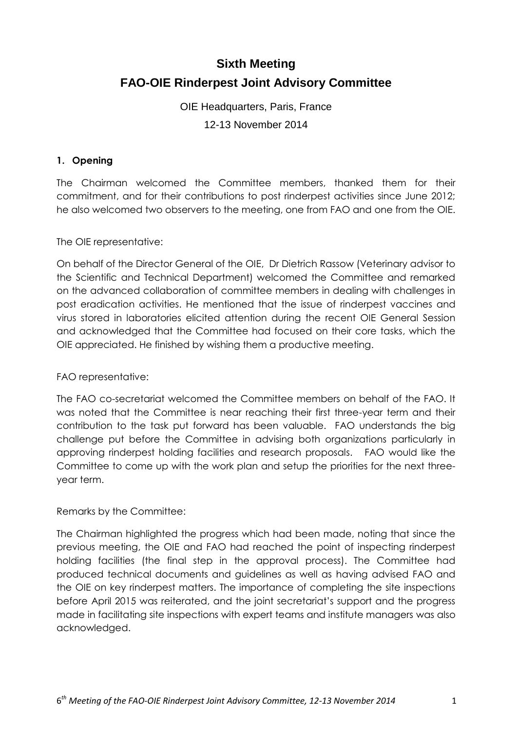# **Sixth Meeting**

# **FAO-OIE Rinderpest Joint Advisory Committee**

OIE Headquarters, Paris, France 12-13 November 2014

# **1. Opening**

The Chairman welcomed the Committee members, thanked them for their commitment, and for their contributions to post rinderpest activities since June 2012; he also welcomed two observers to the meeting, one from FAO and one from the OIE.

The OIE representative:

On behalf of the Director General of the OIE, Dr Dietrich Rassow (Veterinary advisor to the Scientific and Technical Department) welcomed the Committee and remarked on the advanced collaboration of committee members in dealing with challenges in post eradication activities. He mentioned that the issue of rinderpest vaccines and virus stored in laboratories elicited attention during the recent OIE General Session and acknowledged that the Committee had focused on their core tasks, which the OIE appreciated. He finished by wishing them a productive meeting.

## FAO representative:

The FAO co-secretariat welcomed the Committee members on behalf of the FAO. It was noted that the Committee is near reaching their first three-year term and their contribution to the task put forward has been valuable. FAO understands the big challenge put before the Committee in advising both organizations particularly in approving rinderpest holding facilities and research proposals. FAO would like the Committee to come up with the work plan and setup the priorities for the next threeyear term.

## Remarks by the Committee:

The Chairman highlighted the progress which had been made, noting that since the previous meeting, the OIE and FAO had reached the point of inspecting rinderpest holding facilities (the final step in the approval process). The Committee had produced technical documents and guidelines as well as having advised FAO and the OIE on key rinderpest matters. The importance of completing the site inspections before April 2015 was reiterated, and the joint secretariat's support and the progress made in facilitating site inspections with expert teams and institute managers was also acknowledged.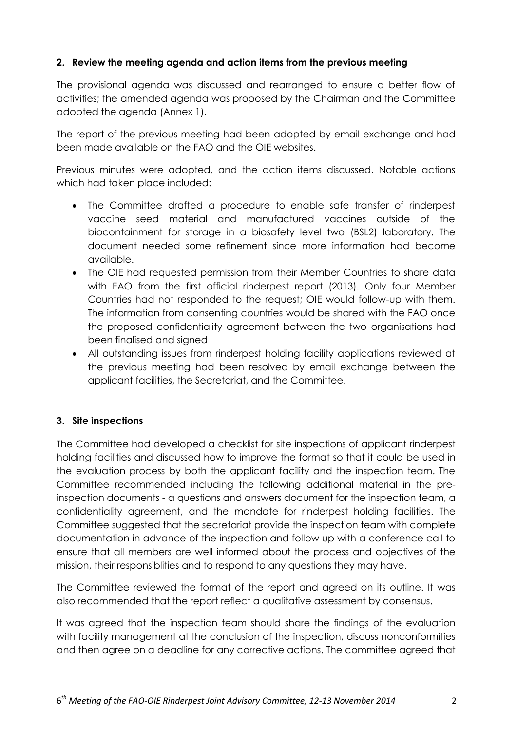# **2. Review the meeting agenda and action items from the previous meeting**

The provisional agenda was discussed and rearranged to ensure a better flow of activities; the amended agenda was proposed by the Chairman and the Committee adopted the agenda (Annex 1).

The report of the previous meeting had been adopted by email exchange and had been made available on the FAO and the OIE websites.

Previous minutes were adopted, and the action items discussed. Notable actions which had taken place included:

- The Committee drafted a procedure to enable safe transfer of rinderpest vaccine seed material and manufactured vaccines outside of the biocontainment for storage in a biosafety level two (BSL2) laboratory. The document needed some refinement since more information had become available.
- The OIE had requested permission from their Member Countries to share data with FAO from the first official rinderpest report (2013). Only four Member Countries had not responded to the request; OIE would follow-up with them. The information from consenting countries would be shared with the FAO once the proposed confidentiality agreement between the two organisations had been finalised and signed
- All outstanding issues from rinderpest holding facility applications reviewed at the previous meeting had been resolved by email exchange between the applicant facilities, the Secretariat, and the Committee.

## **3. Site inspections**

The Committee had developed a checklist for site inspections of applicant rinderpest holding facilities and discussed how to improve the format so that it could be used in the evaluation process by both the applicant facility and the inspection team. The Committee recommended including the following additional material in the preinspection documents - a questions and answers document for the inspection team, a confidentiality agreement, and the mandate for rinderpest holding facilities. The Committee suggested that the secretariat provide the inspection team with complete documentation in advance of the inspection and follow up with a conference call to ensure that all members are well informed about the process and objectives of the mission, their responsiblities and to respond to any questions they may have.

The Committee reviewed the format of the report and agreed on its outline. It was also recommended that the report reflect a qualitative assessment by consensus.

It was agreed that the inspection team should share the findings of the evaluation with facility management at the conclusion of the inspection, discuss nonconformities and then agree on a deadline for any corrective actions. The committee agreed that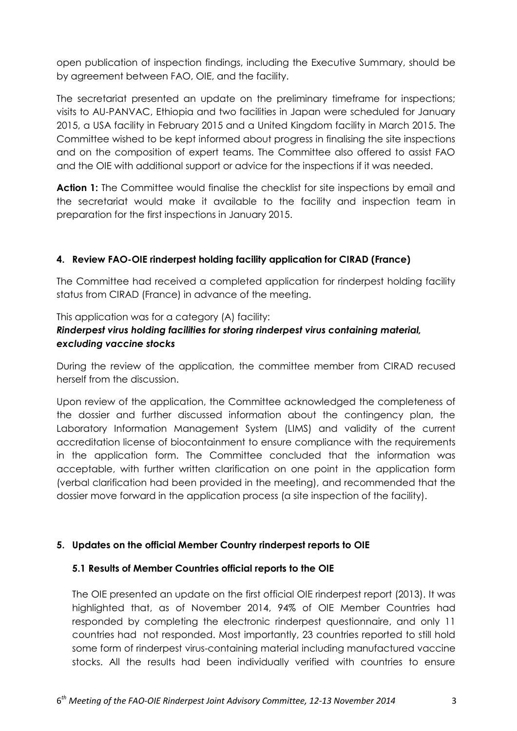open publication of inspection findings, including the Executive Summary, should be by agreement between FAO, OIE, and the facility.

The secretariat presented an update on the preliminary timeframe for inspections; visits to AU-PANVAC, Ethiopia and two facilities in Japan were scheduled for January 2015, a USA facility in February 2015 and a United Kingdom facility in March 2015. The Committee wished to be kept informed about progress in finalising the site inspections and on the composition of expert teams. The Committee also offered to assist FAO and the OIE with additional support or advice for the inspections if it was needed.

**Action 1:** The Committee would finalise the checklist for site inspections by email and the secretariat would make it available to the facility and inspection team in preparation for the first inspections in January 2015.

# **4. Review FAO-OIE rinderpest holding facility application for CIRAD (France)**

The Committee had received a completed application for rinderpest holding facility status from CIRAD (France) in advance of the meeting.

This application was for a category (A) facility:

## *Rinderpest virus holding facilities for storing rinderpest virus containing material, excluding vaccine stocks*

During the review of the application, the committee member from CIRAD recused herself from the discussion.

Upon review of the application, the Committee acknowledged the completeness of the dossier and further discussed information about the contingency plan, the Laboratory Information Management System (LIMS) and validity of the current accreditation license of biocontainment to ensure compliance with the requirements in the application form. The Committee concluded that the information was acceptable, with further written clarification on one point in the application form (verbal clarification had been provided in the meeting), and recommended that the dossier move forward in the application process (a site inspection of the facility).

## **5. Updates on the official Member Country rinderpest reports to OIE**

## **5.1 Results of Member Countries official reports to the OIE**

The OIE presented an update on the first official OIE rinderpest report (2013). It was highlighted that, as of November 2014, 94% of OIE Member Countries had responded by completing the electronic rinderpest questionnaire, and only 11 countries had not responded. Most importantly, 23 countries reported to still hold some form of rinderpest virus-containing material including manufactured vaccine stocks. All the results had been individually verified with countries to ensure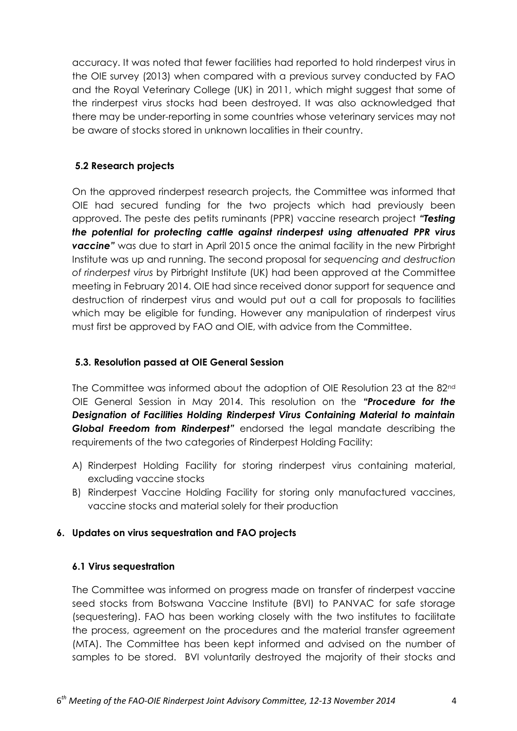accuracy. It was noted that fewer facilities had reported to hold rinderpest virus in the OIE survey (2013) when compared with a previous survey conducted by FAO and the Royal Veterinary College (UK) in 2011, which might suggest that some of the rinderpest virus stocks had been destroyed. It was also acknowledged that there may be under-reporting in some countries whose veterinary services may not be aware of stocks stored in unknown localities in their country.

## **5.2 Research projects**

On the approved rinderpest research projects, the Committee was informed that OIE had secured funding for the two projects which had previously been approved. The peste des petits ruminants (PPR) vaccine research project *"Testing the potential for protecting cattle against rinderpest using attenuated PPR virus vaccine"* was due to start in April 2015 once the animal facility in the new Pirbright Institute was up and running. The second proposal for *sequencing and destruction of rinderpest virus* by Pirbright Institute (UK) had been approved at the Committee meeting in February 2014. OIE had since received donor support for sequence and destruction of rinderpest virus and would put out a call for proposals to facilities which may be eligible for funding. However any manipulation of rinderpest virus must first be approved by FAO and OIE, with advice from the Committee.

## **5.3. Resolution passed at OIE General Session**

The Committee was informed about the adoption of OIE Resolution 23 at the 82nd OIE General Session in May 2014. This resolution on the *"Procedure for the Designation of Facilities Holding Rinderpest Virus Containing Material to maintain Global Freedom from Rinderpest"* endorsed the legal mandate describing the requirements of the two categories of Rinderpest Holding Facility:

- A) Rinderpest Holding Facility for storing rinderpest virus containing material, excluding vaccine stocks
- B) Rinderpest Vaccine Holding Facility for storing only manufactured vaccines, vaccine stocks and material solely for their production

## **6. Updates on virus sequestration and FAO projects**

## **6.1 Virus sequestration**

The Committee was informed on progress made on transfer of rinderpest vaccine seed stocks from Botswana Vaccine Institute (BVI) to PANVAC for safe storage (sequestering). FAO has been working closely with the two institutes to facilitate the process, agreement on the procedures and the material transfer agreement (MTA). The Committee has been kept informed and advised on the number of samples to be stored. BVI voluntarily destroyed the majority of their stocks and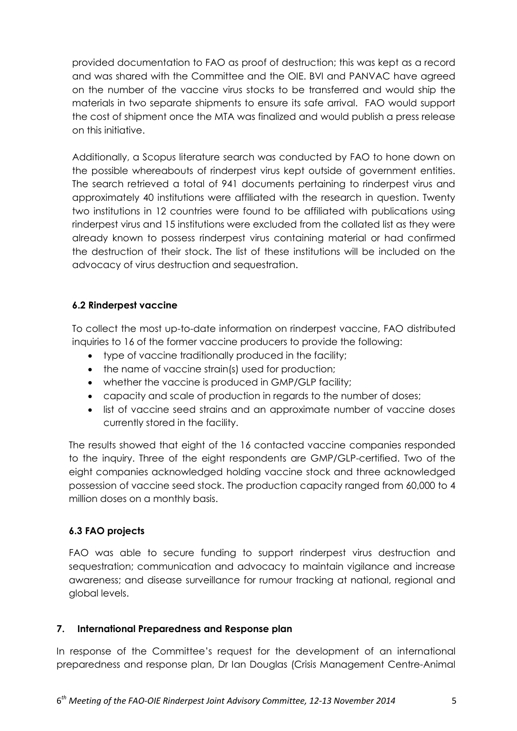provided documentation to FAO as proof of destruction; this was kept as a record and was shared with the Committee and the OIE. BVI and PANVAC have agreed on the number of the vaccine virus stocks to be transferred and would ship the materials in two separate shipments to ensure its safe arrival. FAO would support the cost of shipment once the MTA was finalized and would publish a press release on this initiative.

Additionally, a Scopus literature search was conducted by FAO to hone down on the possible whereabouts of rinderpest virus kept outside of government entities. The search retrieved a total of 941 documents pertaining to rinderpest virus and approximately 40 institutions were affiliated with the research in question. Twenty two institutions in 12 countries were found to be affiliated with publications using rinderpest virus and 15 institutions were excluded from the collated list as they were already known to possess rinderpest virus containing material or had confirmed the destruction of their stock. The list of these institutions will be included on the advocacy of virus destruction and sequestration.

## **6.2 Rinderpest vaccine**

To collect the most up-to-date information on rinderpest vaccine, FAO distributed inquiries to 16 of the former vaccine producers to provide the following:

- type of vaccine traditionally produced in the facility;
- the name of vaccine strain(s) used for production;
- whether the vaccine is produced in GMP/GLP facility;
- capacity and scale of production in regards to the number of doses;
- list of vaccine seed strains and an approximate number of vaccine doses currently stored in the facility.

The results showed that eight of the 16 contacted vaccine companies responded to the inquiry. Three of the eight respondents are GMP/GLP-certified. Two of the eight companies acknowledged holding vaccine stock and three acknowledged possession of vaccine seed stock. The production capacity ranged from 60,000 to 4 million doses on a monthly basis.

# **6.3 FAO projects**

FAO was able to secure funding to support rinderpest virus destruction and sequestration; communication and advocacy to maintain vigilance and increase awareness; and disease surveillance for rumour tracking at national, regional and global levels.

## **7. International Preparedness and Response plan**

In response of the Committee's request for the development of an international preparedness and response plan, Dr Ian Douglas (Crisis Management Centre-Animal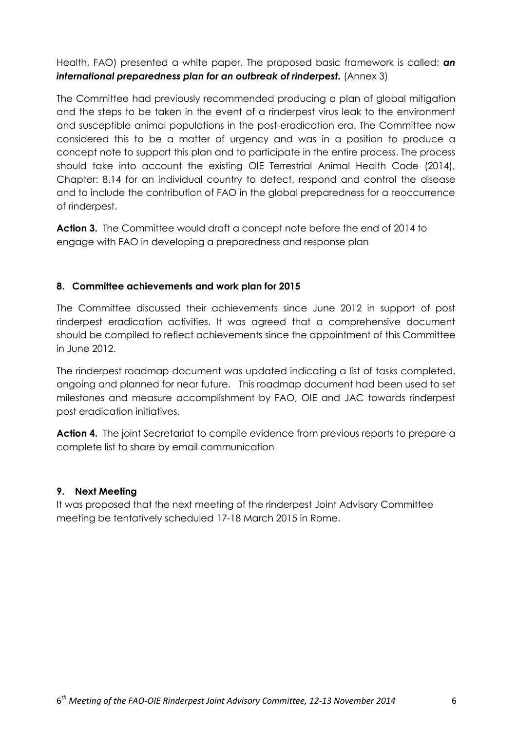Health, FAO) presented a white paper. The proposed basic framework is called; *an international preparedness plan for an outbreak of rinderpest.* (Annex 3)

The Committee had previously recommended producing a plan of global mitigation and the steps to be taken in the event of a rinderpest virus leak to the environment and susceptible animal populations in the post-eradication era. The Committee now considered this to be a matter of urgency and was in a position to produce a concept note to support this plan and to participate in the entire process. The process should take into account the existing OIE Terrestrial Animal Health Code (2014), Chapter: 8.14 for an individual country to detect, respond and control the disease and to include the contribution of FAO in the global preparedness for a reoccurrence of rinderpest.

**Action 3.** The Committee would draft a concept note before the end of 2014 to engage with FAO in developing a preparedness and response plan

## **8. Committee achievements and work plan for 2015**

The Committee discussed their achievements since June 2012 in support of post rinderpest eradication activities. It was agreed that a comprehensive document should be compiled to reflect achievements since the appointment of this Committee in June 2012.

The rinderpest roadmap document was updated indicating a list of tasks completed, ongoing and planned for near future. This roadmap document had been used to set milestones and measure accomplishment by FAO, OIE and JAC towards rinderpest post eradication initiatives.

Action 4. The joint Secretariat to compile evidence from previous reports to prepare a complete list to share by email communication

## **9. Next Meeting**

It was proposed that the next meeting of the rinderpest Joint Advisory Committee meeting be tentatively scheduled 17-18 March 2015 in Rome.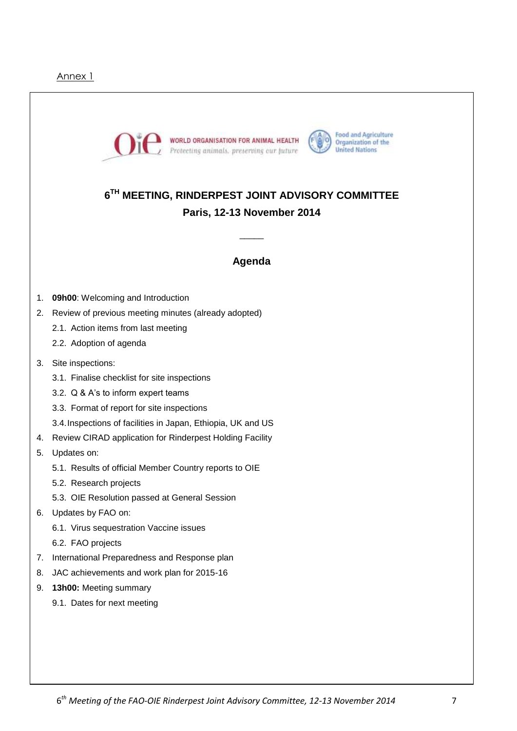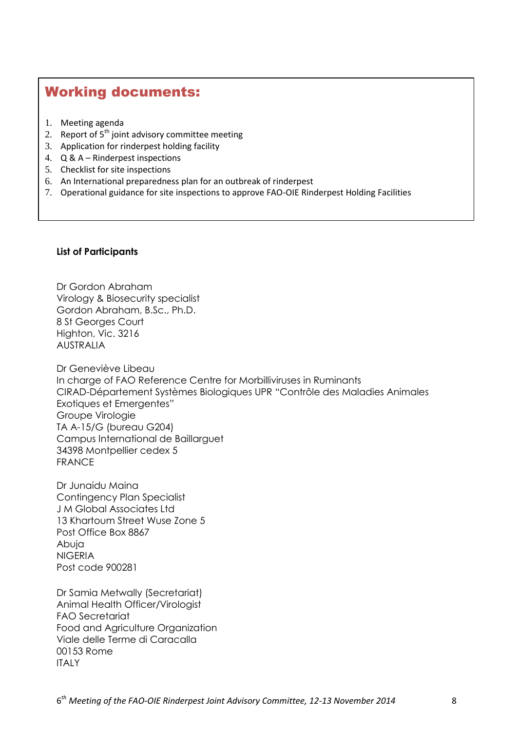# Working documents:

- 1. Meeting agenda
- 2. Report of  $5<sup>th</sup>$  joint advisory committee meeting
- 3. Application for rinderpest holding facility
- 4. Q & A Rinderpest inspections
- 5. Checklist for site inspections
- 6. An International preparedness plan for an outbreak of rinderpest
- 7. Operational guidance for site inspections to approve FAO-OIE Rinderpest Holding Facilities

### **List of Participants**

Dr Gordon Abraham Virology & Biosecurity specialist Gordon Abraham, B.Sc., Ph.D. 8 St Georges Court Highton, Vic. 3216 AUSTRALIA

Dr Geneviève Libeau In charge of FAO Reference Centre for Morbilliviruses in Ruminants CIRAD-Département Systèmes Biologiques UPR "Contrôle des Maladies Animales Exotiques et Emergentes" Groupe Virologie TA A-15/G (bureau G204) Campus International de Baillarguet 34398 Montpellier cedex 5 FRANCE

Dr Junaidu Maina Contingency Plan Specialist J M Global Associates Ltd 13 Khartoum Street Wuse Zone 5 Post Office Box 8867 Abuja NIGERIA Post code 900281

Dr Samia Metwally (Secretariat) Animal Health Officer/Virologist FAO Secretariat Food and Agriculture Organization Viale delle Terme di Caracalla 00153 Rome **ITALY**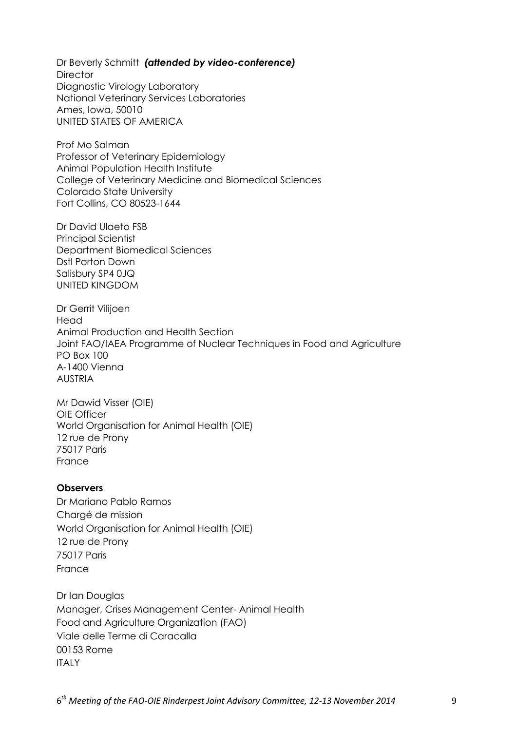Dr Beverly Schmitt *(attended by video-conference)* **Director** Diagnostic Virology Laboratory National Veterinary Services Laboratories Ames, Iowa, 50010 UNITED STATES OF AMERICA

Prof Mo Salman Professor of Veterinary Epidemiology Animal Population Health Institute College of Veterinary Medicine and Biomedical Sciences Colorado State University Fort Collins, CO 80523-1644

Dr David Ulaeto FSB Principal Scientist Department Biomedical Sciences Dstl Porton Down Salisbury SP4 0JQ UNITED KINGDOM

Dr Gerrit Vilijoen Head Animal Production and Health Section Joint FAO/IAEA Programme of Nuclear Techniques in Food and Agriculture PO Box 100 A-1400 Vienna AUSTRIA

Mr Dawid Visser (OIE) OIE Officer World Organisation for Animal Health (OIE) 12 rue de Prony 75017 Paris France

### **Observers**

Dr Mariano Pablo Ramos Chargé de mission World Organisation for Animal Health (OIE) 12 rue de Prony 75017 Paris France

Dr Ian Douglas Manager, Crises Management Center- Animal Health Food and Agriculture Organization (FAO) Viale delle Terme di Caracalla 00153 Rome **ITALY**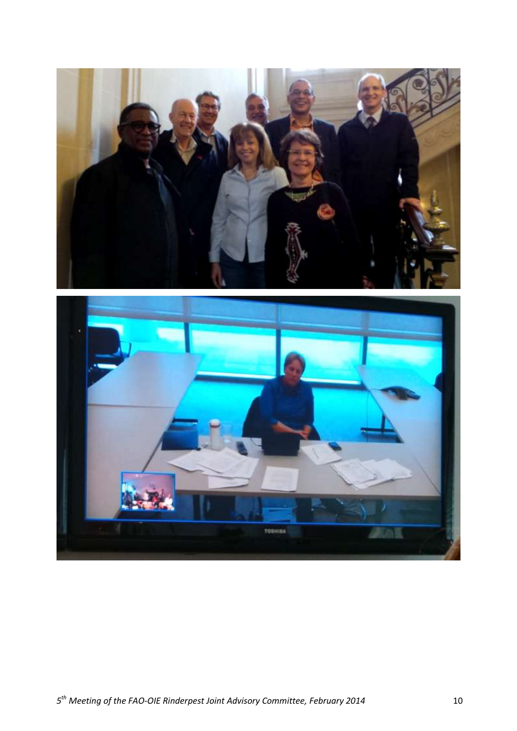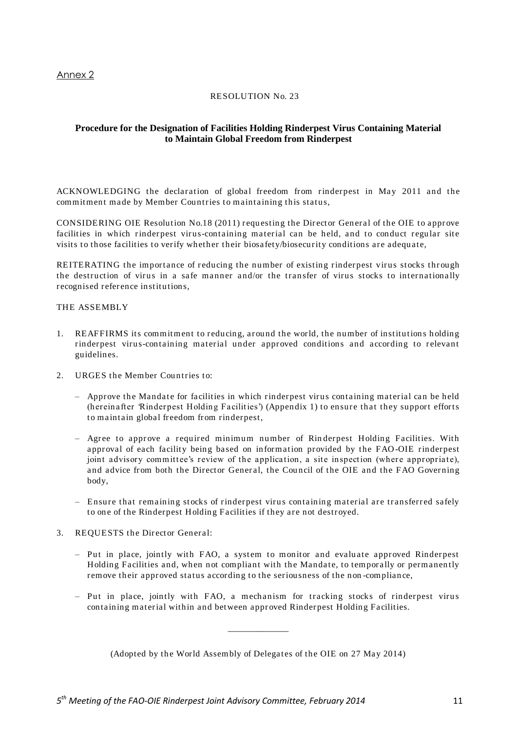### Annex 2

### RESOLUTION No. 23

### **Procedure for the Designation of Facilities Holding Rinderpest Virus Containing Material to Maintain Global Freedom from Rinderpest**

ACKNOWLEDGING the declaration of global freedom from rinderpest in May 2011 and the commitment made by Member Countries to maintaining this status,

CONSIDERING OIE Resolution No.18 (2011) requesting the Director General of the OIE to approve facilities in which rinderpest virus-containing material can be held, and to conduct regular site visits to those facilities to verify whether their biosafety/biosecurity conditions are adequate,

REITERATING the importance of reducing the number of existing rinderpest virus stocks through the destruction of virus in a safe manner and/or the transfer of virus stocks to internationally recognised reference in stitution s,

#### THE ASSEMBLY

- 1. REAFFIRMS its commitment to reducing, around the world, the number of institutions holding rinderpest virus-containing material under approved conditions and according to relevant guidelin es.
- 2. URGES the Member Countries to:
	- $-$  Approve the Mandate for facilities in which rinderpest virus containing material can be held (herein after 'Rinderpest Holding Facilities') (Appendix 1) to en sure that they support efforts to maintain global freedom from rinderpest,
	- Agree to approve a required minimum number of Rin derpest Holding Facilities. With approval of each facility being based on information provided by the FAO-OIE rinderpest joint advisory committee's review of the application, a site inspection (where appropriate), and advice from both the Director General, the Council of the OIE and the FAO Governing body,
	- Ensure that remaining stocks of rinderpest viru s containing material are transferred safely to one of the Rinderpest Holding Facilities if they are not destroyed.
- 3. REQUESTS the Director General:
	- Put in place, jointly with FAO, a system to m onitor and evalu ate approved Rinderpest Holding Facilities and, when not compliant with the Mandate, to temporally or permanently remove their approved status according to the seriousness of the non-compliance,
	- Put in place, jointly with FAO, a mechanism for tracking stocks of rinderpest virus containing material within and between approved Rinderpest Holding Facilities.

(Adopted by the World Assembly of Delegates of the OIE on 27 May 2014)

\_\_\_\_\_\_\_\_\_\_\_\_\_\_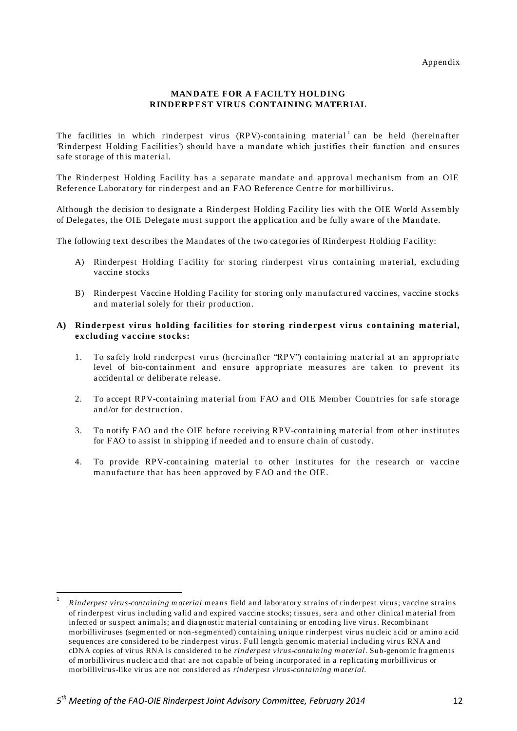#### Appendix

### **MANDATE FOR A FACILTY HOLDING RINDERP EST VIRUS CONTAINING MATERIAL**

The facilities in which rinderpest virus  $(RPV)$ -containing material can be held (hereinafter Rinderpest Holding Facilities') should have a mandate which justifies their function and ensures safe storage of this material.

The Rinderpest Holding Facility has a separate mandate and approval mechanism from an OIE Reference Laboratory for rinderpest and an FAO Reference Centre for morbillivirus.

Although the decision to designate a Rinderpest Holding Facility lies with the OIE World Assembly of Delegates, the OIE Delegate must support the application and be fully aware of the Mandate.

The following text describes the Mandates of the two categories of Rinderpest Holding Facility:

- A) Rinderpest Holding Facility for storing rinderpest virus containing material, excluding vaccine stocks
- B) Rinderpest Vaccine Holding Facility for storing only manufactured vaccines, vaccine stocks and material solely for their production.

#### A) Rinderpest virus holding facilities for storing rinderpest virus containing material, **e xclu din g vaccin e stocks:**

- 1. To safely hold rinderpest virus (hereinafter "RPV") containing material at an appropriate level of bio-containment and ensure appropriate measures are taken to prevent its accidental or deliberate release.
- 2. To accept RPV-containing material from FAO and OIE Member Countries for safe storage and/or for destruction .
- 3. To notify FAO and the OIE before receiving RPV-containing material from other institutes for FAO to assist in shipping if needed and to ensure chain of custody.
- 4. To provide RPV-containing material to other institutes for the research or vaccine manufacture that has been approved by FAO and the OIE.

 $\overline{a}$ 

<sup>1</sup> *R inderpest virus-containing m aterial* means field and laboratory strains of rinderpest virus; vaccine strains of rinderpest virus including valid and expired vaccine stocks; tissues, sera and other clinical material from infected or suspect animals; and diagnostic material containing or encoding live virus. Recombinant morbilliviruses (segmented or non -segmented) containing unique rinderpest virus nucleic acid or amino acid sequences are considered to be rinderpest virus. Full length genomic material including virus RNA and cDNA copies of virus RNA is considered to be *rinderpest virus-containing m aterial*. Sub-genomic fragments of morbillivirus nucleic acid that are not capable of being incorporated in a replicating morbillivirus or morbillivirus-like virus are not considered as *rinderpest virus-containing m aterial.*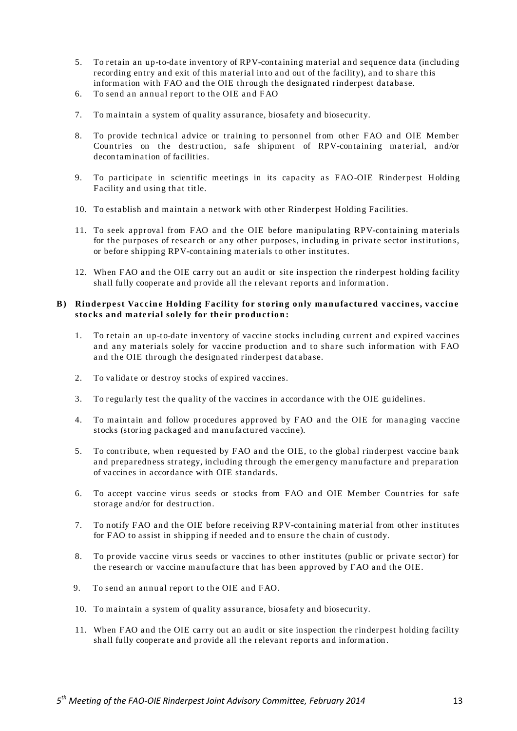- 5. To retain an up-to-date in ventory of RPV-con taining material and sequence data (including recording entry and exit of this material into and out of the facility), and to share this information with FAO and the OIE through the designated rinderpest database.
- 6. To send an annual report to the OIE an d FAO
- 7. To maintain a system of quality assurance, biosafety and biosecurity.
- 8. To provide technical advice or training to personnel from other FAO and OIE Member Countries on the destruction, safe shipment of RPV-containing material, and/or decon tamination of facilities.
- 9. To participate in scientific meetings in its capacity as FAO-OIE Rinderpest Holding Facility and using that title.
- 10. To establish and maintain a network with other Rinderpest Holding Facilities.
- 11. To seek approval from FAO and the OIE before manipulating RPV-containing materials for the purposes of research or any other purposes, including in private sector institutions, or before shipping RPV-containing materials to other institutes.
- 12. When FAO and the OIE carry out an audit or site inspection the rinderpest holding facility shall fully cooperate and provide all the relevant reports and information.

### **B**) Rinderpest Vaccine Holding Facility for storing only manufactured vaccines, vaccine stocks and material solely for their production:

- 1. To retain an up-to-date inventory of vaccine stocks including current and expired vaccines and any materials solely for vaccine production and to share such information with FAO and the OIE through the designated rinderpest database.
- 2. To validate or destroy stocks of expired vaccines.
- 3. To regularly test the quality of the vaccines in accordance with the OIE guidelines.
- 4. To maintain and follow procedures approved by FAO and the OIE for managing vaccine stocks (storing packaged and manufactured vaccine).
- 5. To contribute, when requested by FAO and the OIE, to the global rinderpest vaccine bank and preparedness strategy, including through the emergency manufacture and preparation of vaccin es in accordance with OIE standards.
- 6. To accept vaccine virus seeds or stocks from FAO and OIE Member Countries for safe storage and/or for destruction.
- 7. To notify FAO and the OIE before receiving RPV-containing material from other institutes for FAO to assist in shipping if needed and to ensure the chain of custody.
- 8. To provide vaccine virus seeds or vaccines to other institutes (public or private sector) for the research or vaccine manufacture that has been approved by FAO and the OIE.
- 9. To send an annual report to the OIE and FAO.
- 10. To maintain a system of quality assurance, biosafety and biosecurity.
- 11. When FAO and the OIE carry out an audit or site inspection the rinderpest holding facility shall fully cooperate and provide all the relevant reports and information.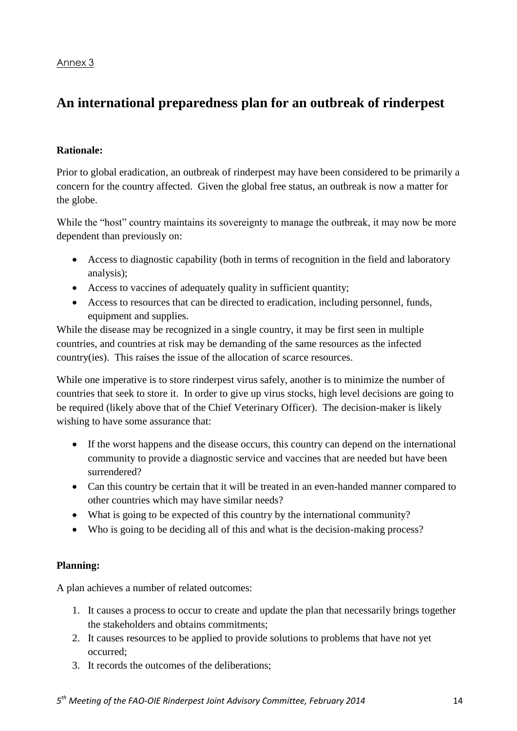### Annex 3

# **An international preparedness plan for an outbreak of rinderpest**

## **Rationale:**

Prior to global eradication, an outbreak of rinderpest may have been considered to be primarily a concern for the country affected. Given the global free status, an outbreak is now a matter for the globe.

While the "host" country maintains its sovereignty to manage the outbreak, it may now be more dependent than previously on:

- Access to diagnostic capability (both in terms of recognition in the field and laboratory analysis);
- Access to vaccines of adequately quality in sufficient quantity;
- Access to resources that can be directed to eradication, including personnel, funds, equipment and supplies.

While the disease may be recognized in a single country, it may be first seen in multiple countries, and countries at risk may be demanding of the same resources as the infected country(ies). This raises the issue of the allocation of scarce resources.

While one imperative is to store rinderpest virus safely, another is to minimize the number of countries that seek to store it. In order to give up virus stocks, high level decisions are going to be required (likely above that of the Chief Veterinary Officer). The decision-maker is likely wishing to have some assurance that:

- If the worst happens and the disease occurs, this country can depend on the international community to provide a diagnostic service and vaccines that are needed but have been surrendered?
- Can this country be certain that it will be treated in an even-handed manner compared to other countries which may have similar needs?
- What is going to be expected of this country by the international community?
- Who is going to be deciding all of this and what is the decision-making process?

## **Planning:**

A plan achieves a number of related outcomes:

- 1. It causes a process to occur to create and update the plan that necessarily brings together the stakeholders and obtains commitments;
- 2. It causes resources to be applied to provide solutions to problems that have not yet occurred;
- 3. It records the outcomes of the deliberations;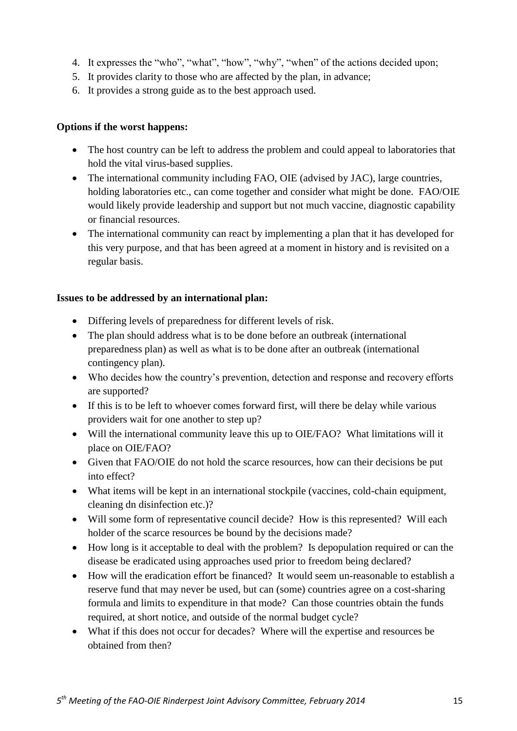- 4. It expresses the "who", "what", "how", "why", "when" of the actions decided upon;
- 5. It provides clarity to those who are affected by the plan, in advance;
- 6. It provides a strong guide as to the best approach used.

## **Options if the worst happens:**

- The host country can be left to address the problem and could appeal to laboratories that hold the vital virus-based supplies.
- The international community including FAO, OIE (advised by JAC), large countries, holding laboratories etc., can come together and consider what might be done. FAO/OIE would likely provide leadership and support but not much vaccine, diagnostic capability or financial resources.
- The international community can react by implementing a plan that it has developed for this very purpose, and that has been agreed at a moment in history and is revisited on a regular basis.

## **Issues to be addressed by an international plan:**

- Differing levels of preparedness for different levels of risk.
- The plan should address what is to be done before an outbreak (international preparedness plan) as well as what is to be done after an outbreak (international contingency plan).
- Who decides how the country's prevention, detection and response and recovery efforts are supported?
- If this is to be left to whoever comes forward first, will there be delay while various providers wait for one another to step up?
- Will the international community leave this up to OIE/FAO? What limitations will it place on OIE/FAO?
- Given that FAO/OIE do not hold the scarce resources, how can their decisions be put into effect?
- What items will be kept in an international stockpile (vaccines, cold-chain equipment, cleaning dn disinfection etc.)?
- Will some form of representative council decide? How is this represented? Will each holder of the scarce resources be bound by the decisions made?
- How long is it acceptable to deal with the problem? Is depopulation required or can the disease be eradicated using approaches used prior to freedom being declared?
- How will the eradication effort be financed? It would seem un-reasonable to establish a reserve fund that may never be used, but can (some) countries agree on a cost-sharing formula and limits to expenditure in that mode? Can those countries obtain the funds required, at short notice, and outside of the normal budget cycle?
- What if this does not occur for decades? Where will the expertise and resources be obtained from then?